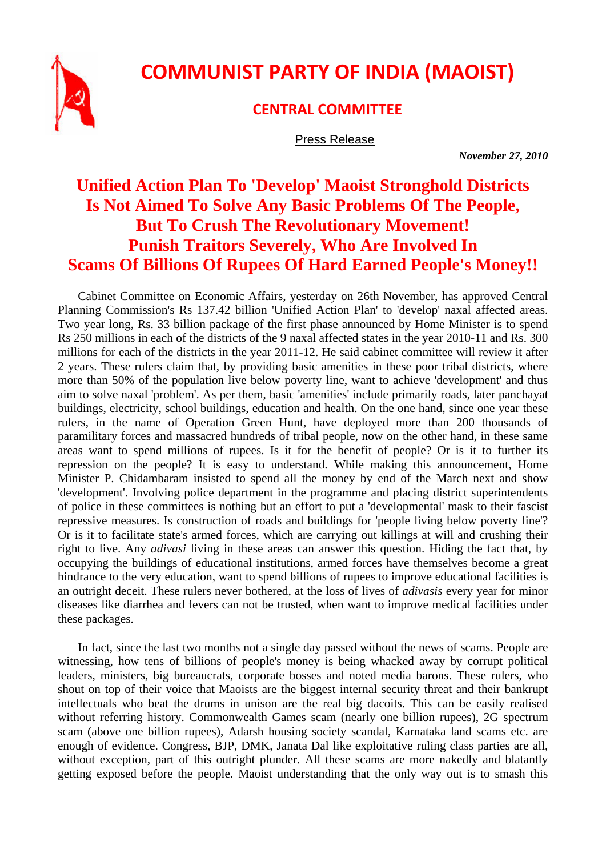

## **COMMUNIST PARTY OF INDIA (MAOIST)**

## **CENTRAL COMMITTEE**

Press Release

 *November 27, 2010* 

## **Unified Action Plan To 'Develop' Maoist Stronghold Districts Is Not Aimed To Solve Any Basic Problems Of The People, But To Crush The Revolutionary Movement! Punish Traitors Severely, Who Are Involved In Scams Of Billions Of Rupees Of Hard Earned People's Money!!**

Cabinet Committee on Economic Affairs, yesterday on 26th November, has approved Central Planning Commission's Rs 137.42 billion 'Unified Action Plan' to 'develop' naxal affected areas. Two year long, Rs. 33 billion package of the first phase announced by Home Minister is to spend Rs 250 millions in each of the districts of the 9 naxal affected states in the year 2010-11 and Rs. 300 millions for each of the districts in the year 2011-12. He said cabinet committee will review it after 2 years. These rulers claim that, by providing basic amenities in these poor tribal districts, where more than 50% of the population live below poverty line, want to achieve 'development' and thus aim to solve naxal 'problem'. As per them, basic 'amenities' include primarily roads, later panchayat buildings, electricity, school buildings, education and health. On the one hand, since one year these rulers, in the name of Operation Green Hunt, have deployed more than 200 thousands of paramilitary forces and massacred hundreds of tribal people, now on the other hand, in these same areas want to spend millions of rupees. Is it for the benefit of people? Or is it to further its repression on the people? It is easy to understand. While making this announcement, Home Minister P. Chidambaram insisted to spend all the money by end of the March next and show 'development'. Involving police department in the programme and placing district superintendents of police in these committees is nothing but an effort to put a 'developmental' mask to their fascist repressive measures. Is construction of roads and buildings for 'people living below poverty line'? Or is it to facilitate state's armed forces, which are carrying out killings at will and crushing their right to live. Any *adivasi* living in these areas can answer this question. Hiding the fact that, by occupying the buildings of educational institutions, armed forces have themselves become a great hindrance to the very education, want to spend billions of rupees to improve educational facilities is an outright deceit. These rulers never bothered, at the loss of lives of *adivasis* every year for minor diseases like diarrhea and fevers can not be trusted, when want to improve medical facilities under these packages.

In fact, since the last two months not a single day passed without the news of scams. People are witnessing, how tens of billions of people's money is being whacked away by corrupt political leaders, ministers, big bureaucrats, corporate bosses and noted media barons. These rulers, who shout on top of their voice that Maoists are the biggest internal security threat and their bankrupt intellectuals who beat the drums in unison are the real big dacoits. This can be easily realised without referring history. Commonwealth Games scam (nearly one billion rupees), 2G spectrum scam (above one billion rupees), Adarsh housing society scandal, Karnataka land scams etc. are enough of evidence. Congress, BJP, DMK, Janata Dal like exploitative ruling class parties are all, without exception, part of this outright plunder. All these scams are more nakedly and blatantly getting exposed before the people. Maoist understanding that the only way out is to smash this